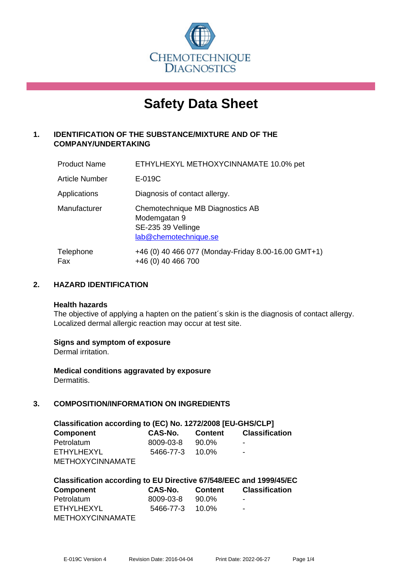

# **Safety Data Sheet**

# **1. IDENTIFICATION OF THE SUBSTANCE/MIXTURE AND OF THE COMPANY/UNDERTAKING**

| <b>Product Name</b>   | ETHYLHEXYL METHOXYCINNAMATE 10.0% pet                                                           |
|-----------------------|-------------------------------------------------------------------------------------------------|
| <b>Article Number</b> | E-019C                                                                                          |
| Applications          | Diagnosis of contact allergy.                                                                   |
| Manufacturer          | Chemotechnique MB Diagnostics AB<br>Modemgatan 9<br>SE-235 39 Vellinge<br>lab@chemotechnique.se |
| Telephone<br>Fax      | +46 (0) 40 466 077 (Monday-Friday 8.00-16.00 GMT+1)<br>+46 (0) 40 466 700                       |

## **2. HAZARD IDENTIFICATION**

#### **Health hazards**

The objective of applying a hapten on the patient's skin is the diagnosis of contact allergy. Localized dermal allergic reaction may occur at test site.

## **Signs and symptom of exposure**

Dermal irritation.

**Medical conditions aggravated by exposure** Dermatitis.

# **3. COMPOSITION/INFORMATION ON INGREDIENTS**

| Classification according to (EC) No. 1272/2008 [EU-GHS/CLP] |           |          |                       |  |
|-------------------------------------------------------------|-----------|----------|-----------------------|--|
| <b>Component</b>                                            | CAS-No.   | Content  | <b>Classification</b> |  |
| Petrolatum                                                  | 8009-03-8 | 90.0%    | ۰                     |  |
| <b>ETHYLHEXYL</b>                                           | 5466-77-3 | $10.0\%$ | $\blacksquare$        |  |
| <b>METHOXYCINNAMATE</b>                                     |           |          |                       |  |

| Classification according to EU Directive 67/548/EEC and 1999/45/EC |                       |         |                       |  |  |
|--------------------------------------------------------------------|-----------------------|---------|-----------------------|--|--|
| <b>Component</b>                                                   | CAS-No.               | Content | <b>Classification</b> |  |  |
| Petrolatum                                                         | 8009-03-8             | 90.0%   | ۰                     |  |  |
| ETHYLHEXYL                                                         | $5466 - 77 - 3$ 10.0% |         | -                     |  |  |
| <b>METHOXYCINNAMATE</b>                                            |                       |         |                       |  |  |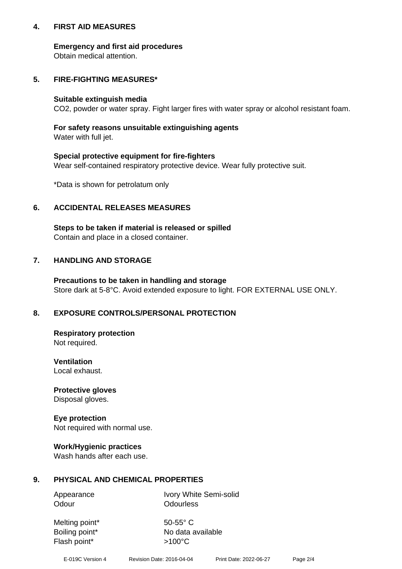## **4. FIRST AID MEASURES**

## **Emergency and first aid procedures**

Obtain medical attention.

## **5. FIRE-FIGHTING MEASURES\***

#### **Suitable extinguish media**

CO2, powder or water spray. Fight larger fires with water spray or alcohol resistant foam.

## **For safety reasons unsuitable extinguishing agents**

Water with full jet.

## **Special protective equipment for fire-fighters**

Wear self-contained respiratory protective device. Wear fully protective suit.

\*Data is shown for petrolatum only

## **6. ACCIDENTAL RELEASES MEASURES**

**Steps to be taken if material is released or spilled** Contain and place in a closed container.

# **7. HANDLING AND STORAGE**

**Precautions to be taken in handling and storage** Store dark at 5-8°C. Avoid extended exposure to light. FOR EXTERNAL USE ONLY.

# **8. EXPOSURE CONTROLS/PERSONAL PROTECTION**

**Respiratory protection** Not required.

**Ventilation** Local exhaust.

**Protective gloves** Disposal gloves.

#### **Eye protection** Not required with normal use.

## **Work/Hygienic practices**

Wash hands after each use.

## **9. PHYSICAL AND CHEMICAL PROPERTIES**

Odour **Odourless** 

Appearance Ivory White Semi-solid

Melting point\* 50-55° C Flash point\*  $>100^{\circ}$ C

Boiling point\* No data available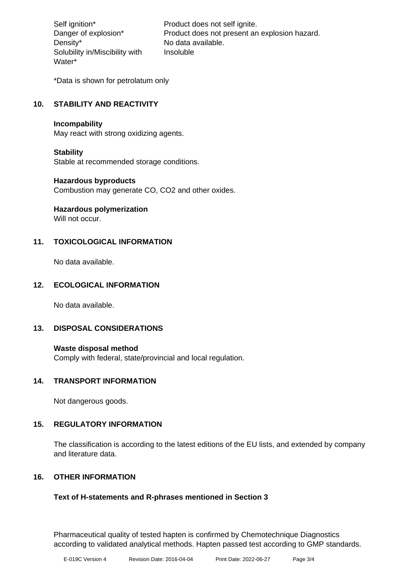Density\* No data available. Solubility in/Miscibility with Water\*

Self ignition\* Product does not self ignite. Danger of explosion\* Product does not present an explosion hazard. Insoluble

\*Data is shown for petrolatum only

## **10. STABILITY AND REACTIVITY**

#### **Incompability**

May react with strong oxidizing agents.

## **Stability**

Stable at recommended storage conditions.

#### **Hazardous byproducts**

Combustion may generate CO, CO2 and other oxides.

**Hazardous polymerization**

Will not occur.

## **11. TOXICOLOGICAL INFORMATION**

No data available.

## **12. ECOLOGICAL INFORMATION**

No data available.

## **13. DISPOSAL CONSIDERATIONS**

#### **Waste disposal method**

Comply with federal, state/provincial and local regulation.

## **14. TRANSPORT INFORMATION**

Not dangerous goods.

## **15. REGULATORY INFORMATION**

The classification is according to the latest editions of the EU lists, and extended by company and literature data.

## **16. OTHER INFORMATION**

## **Text of H-statements and R-phrases mentioned in Section 3**

Pharmaceutical quality of tested hapten is confirmed by Chemotechnique Diagnostics according to validated analytical methods. Hapten passed test according to GMP standards.